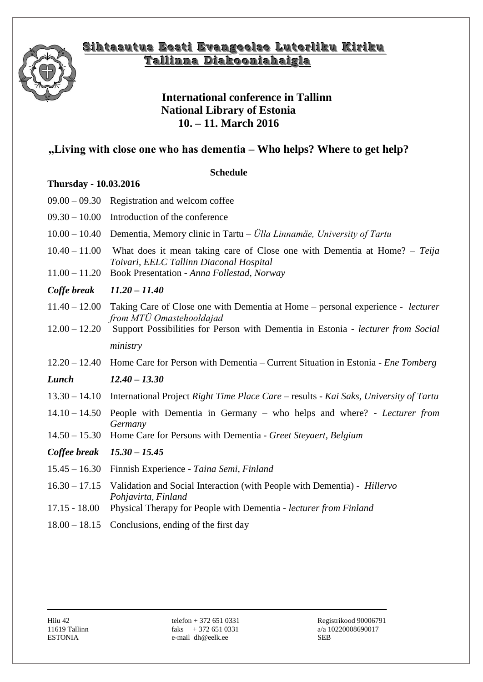

## Sihtasutus Eesti Evangeelse Luterliku Kiriku **TTaalllliinnnnaa DDiiaakkoooonniiaahhaaiiggllaa**

### **International conference in Tallinn National Library of Estonia 10. – 11. March 2016**

# **"Living with close one who has dementia – Who helps? Where to get help?**

#### **Schedule**

### **Thursday - 10.03.2016**

| $09.00 - 09.30$                    | Registration and welcom coffee                                                                                                                                       |
|------------------------------------|----------------------------------------------------------------------------------------------------------------------------------------------------------------------|
|                                    | $09.30 - 10.00$ Introduction of the conference                                                                                                                       |
|                                    | 10.00 - 10.40 Dementia, Memory clinic in Tartu - Ülla Linnamäe, University of Tartu                                                                                  |
| $10.40 - 11.00$<br>$11.00 - 11.20$ | What does it mean taking care of Close one with Dementia at Home? $- Teija$<br>Toivari, EELC Tallinn Diaconal Hospital<br>Book Presentation - Anna Follestad, Norway |
|                                    |                                                                                                                                                                      |
| Coffe break                        | $11.20 - 11.40$                                                                                                                                                      |
| $11.40 - 12.00$                    | Taking Care of Close one with Dementia at Home – personal experience - lecturer<br>from MTÜ Omastehooldajad                                                          |
| $12.00 - 12.20$                    | Support Possibilities for Person with Dementia in Estonia - lecturer from Social                                                                                     |
|                                    | ministry                                                                                                                                                             |
|                                    | 12.20 - 12.40 Home Care for Person with Dementia - Current Situation in Estonia - Ene Tomberg                                                                        |
| Lunch                              | $12.40 - 13.30$                                                                                                                                                      |
| $13.30 - 14.10$                    | International Project Right Time Place Care – results - Kai Saks, University of Tartu                                                                                |
| $14.10 - 14.50$                    | People with Dementia in Germany – who helps and where? - Lecturer from<br>Germany                                                                                    |
| $14.50 - 15.30$                    | Home Care for Persons with Dementia - Greet Steyaert, Belgium                                                                                                        |
| Coffee break                       | $15.30 - 15.45$                                                                                                                                                      |
| $15.45 - 16.30$                    | Finnish Experience - Taina Semi, Finland                                                                                                                             |
| $16.30 - 17.15$                    | Validation and Social Interaction (with People with Dementia) - Hillervo<br>Pohjavirta, Finland                                                                      |
| $17.15 - 18.00$                    | Physical Therapy for People with Dementia - lecturer from Finland                                                                                                    |
|                                    | $18.00 - 18.15$ Conclusions, ending of the first day                                                                                                                 |